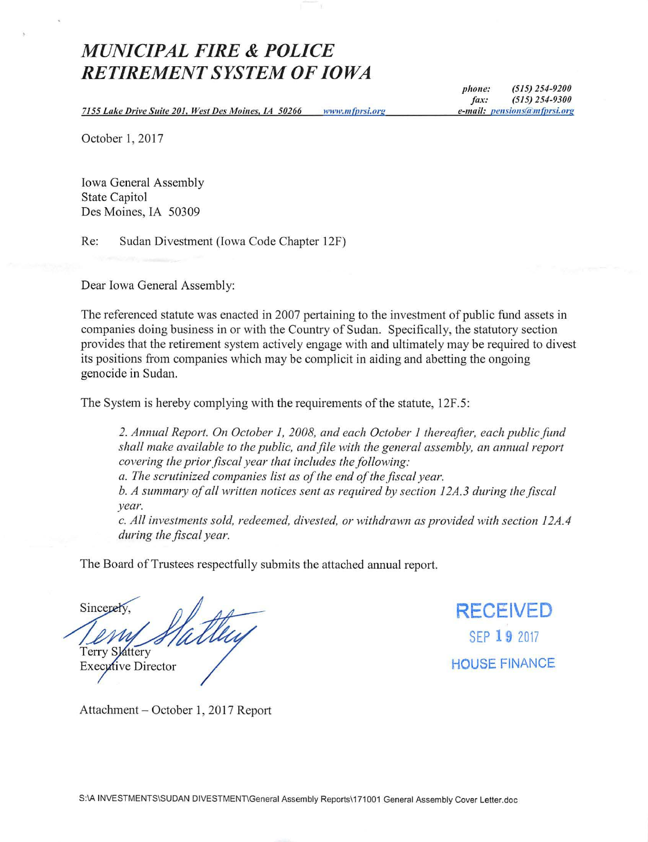# *MUNICIPAL FIRE* **&** *POLICE RETIREMENT SYSTEM OF IOWA*

*7155 Lake Drive Suite 20* /, *West Des Moines, IA 50266*  www.mfprsi.org

*phone: (515) 254-9200 fax: (515) 254-9300*  e-mail: pensions@mfprsi.org

October 1, 2017

Iowa General Assembly State Capitol Des Moines, IA 50309

Re: Sudan Divestment (Iowa Code Chapter 12F)

Dear Iowa General Assembly:

The referenced statute was enacted in 2007 pertaining to the investment of public fund assets in companies doing business in or with the Country of Sudan. Specifically, the statutory section provides that the retirement system actively engage with and ultimately may be required to divest its positions from companies which may be complicit in aiding and abetting the ongoing genocide in Sudan.

The System is hereby complying with the requirements of the statute, 12F.5:

*2. Annual Report. On October I, 2008, and each October I thereafter, each public fund shall make available to the public, and file with the general assembly, an annual report covering the prior fiscal year that includes the following:* 

*a. The scrutinized companies list as of the end of the fiscal year.* 

*b. A summary of all written notices sent as required by section 12A.3 during the fiscal year.* 

*c. All investments sold, redeemed, divested, or withdrawn as provided with section 12A.4 during the fiscal year.* 

The Board of Trustees respectfully submits the attached annual report.

Sincerely **Terry Slattery** Executive Director

**RECEIVED**  SEP **19** <sup>2017</sup> **HOUSE** FINANCE

Attachment- October 1, 2017 Report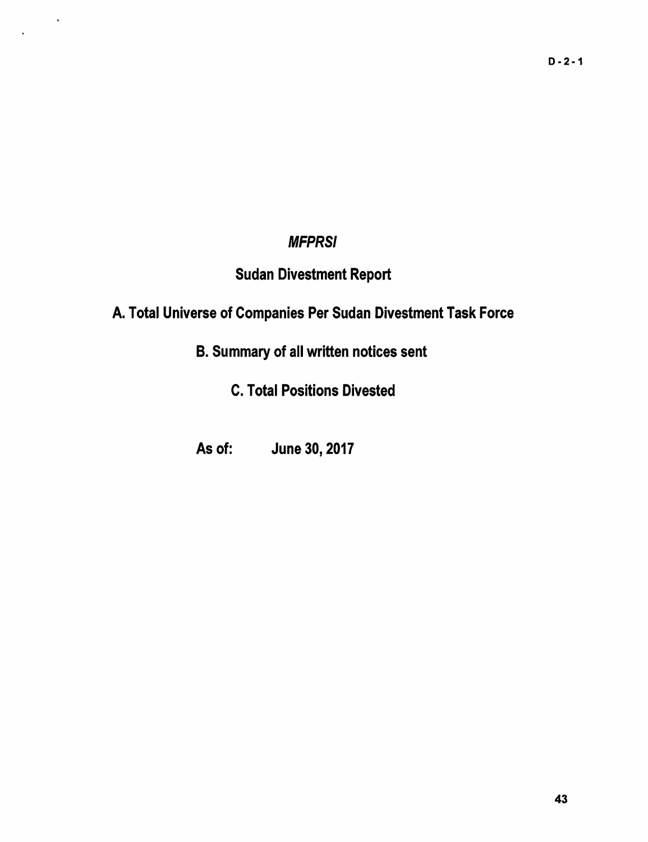## **MFPRSI**

 $\sim$ 

# Sudan Divestment Report

# A. Total Universe of Companies Per Sudan Divestment Task Force

B. Summary of all written notices sent

C. Total Positions Divested

As of: June 30, 2017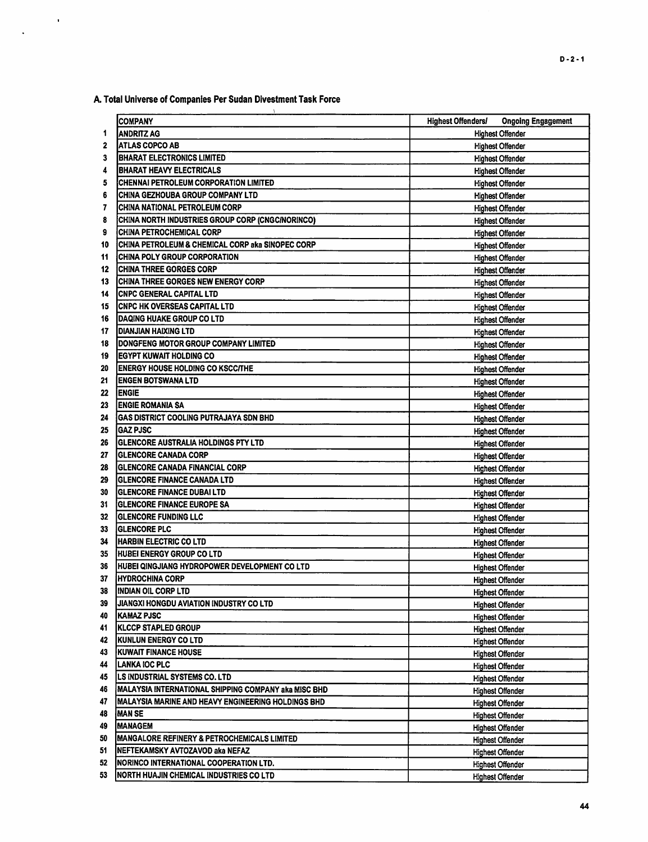A. Total Universe of Companies Per Sudan Divestment Task Force

 $\sim$   $\alpha$ 

 $\ddot{\phantom{a}}$ 

|    | <b>COMPANY</b>                                         | <b>Highest Offenders/</b><br><b>Ongoing Engagement</b> |
|----|--------------------------------------------------------|--------------------------------------------------------|
| 1  | <b>ANDRITZ AG</b>                                      | <b>Highest Offender</b>                                |
| 2  | <b>ATLAS COPCO AB</b>                                  | <b>Highest Offender</b>                                |
| 3  | <b>BHARAT ELECTRONICS LIMITED</b>                      | <b>Highest Offender</b>                                |
| 4  | <b>BHARAT HEAVY ELECTRICALS</b>                        | <b>Highest Offender</b>                                |
| 5  | CHENNAI PETROLEUM CORPORATION LIMITED                  | <b>Highest Offender</b>                                |
| 6  | CHINA GEZHOUBA GROUP COMPANY LTD                       | <b>Highest Offender</b>                                |
| 7  | CHINA NATIONAL PETROLEUM CORP                          | <b>Highest Offender</b>                                |
| 8  | CHINA NORTH INDUSTRIES GROUP CORP (CNGC/NORINCO)       | <b>Highest Offender</b>                                |
| 9  | <b>CHINA PETROCHEMICAL CORP</b>                        | <b>Highest Offender</b>                                |
| 10 | CHINA PETROLEUM & CHEMICAL CORP aka SINOPEC CORP       | <b>Highest Offender</b>                                |
| 11 | CHINA POLY GROUP CORPORATION                           | <b>Highest Offender</b>                                |
| 12 | <b>CHINA THREE GORGES CORP</b>                         |                                                        |
| 13 | <b>CHINA THREE GORGES NEW ENERGY CORP</b>              | <b>Highest Offender</b>                                |
| 14 | <b>CNPC GENERAL CAPITAL LTD</b>                        | <b>Highest Offender</b>                                |
| 15 | <b>CNPC HK OVERSEAS CAPITAL LTD</b>                    | <b>Highest Offender</b>                                |
| 16 | DAQING HUAKE GROUP CO LTD                              | <b>Highest Offender</b>                                |
| 17 | <b>DIANJIAN HAIXING LTD</b>                            | <b>Highest Offender</b>                                |
|    | DONGFENG MOTOR GROUP COMPANY LIMITED                   | <b>Highest Offender</b>                                |
| 18 | <b>EGYPT KUWAIT HOLDING CO</b>                         | <b>Highest Offender</b>                                |
| 19 | <b>ENERGY HOUSE HOLDING CO KSCC/THE</b>                | <b>Highest Offender</b>                                |
| 20 | <b>ENGEN BOTSWANA LTD</b>                              | <b>Highest Offender</b>                                |
| 21 |                                                        | <b>Highest Offender</b>                                |
| 22 | <b>ENGIE</b>                                           | <b>Highest Offender</b>                                |
| 23 | <b>ENGIE ROMANIA SA</b>                                | <b>Highest Offender</b>                                |
| 24 | GAS DISTRICT COOLING PUTRAJAYA SDN BHD                 | <b>Highest Offender</b>                                |
| 25 | <b>GAZ PJSC</b>                                        | <b>Highest Offender</b>                                |
| 26 | GLENCORE AUSTRALIA HOLDINGS PTY LTD                    | <b>Highest Offender</b>                                |
| 27 | <b>GLENCORE CANADA CORP</b>                            | <b>Highest Offender</b>                                |
| 28 | <b>GLENCORE CANADA FINANCIAL CORP</b>                  | <b>Highest Offender</b>                                |
| 29 | <b>GLENCORE FINANCE CANADA LTD</b>                     | <b>Highest Offender</b>                                |
| 30 | <b>GLENCORE FINANCE DUBAI LTD</b>                      | <b>Highest Offender</b>                                |
| 31 | <b>IGLENCORE FINANCE EUROPE SA</b>                     | <b>Highest Offender</b>                                |
| 32 | <b> GLENCORE FUNDING LLC</b>                           | <b>Highest Offender</b>                                |
| 33 | <b>GLENCORE PLC</b>                                    | <b>Highest Offender</b>                                |
| 34 | <b>HARBIN ELECTRIC CO LTD</b>                          | <b>Highest Offender</b>                                |
| 35 | <b>HUBEI ENERGY GROUP CO LTD</b>                       | <b>Highest Offender</b>                                |
| 36 | HUBEI QINGJIANG HYDROPOWER DEVELOPMENT CO LTD          | <b>Highest Offender</b>                                |
| 37 | <b>IHYDROCHINA CORP</b>                                | <b>Highest Offender</b>                                |
| 38 | <b>INDIAN OIL CORP LTD</b>                             | <b>Highest Offender</b>                                |
| 39 | JIANGXI HONGDU AVIATION INDUSTRY CO LTD                | <b>Highest Offender</b>                                |
| 40 | KAMAZ PJSC                                             | <b>Highest Offender</b>                                |
| 41 | KLCCP STAPLED GROUP                                    | <b>Highest Offender</b>                                |
| 42 | <b>KUNLUN ENERGY CO LTD</b>                            | <b>Highest Offender</b>                                |
| 43 | <b>KUWAIT FINANCE HOUSE</b>                            | <b>Highest Offender</b>                                |
| 44 | LANKA IOC PLC                                          | <b>Highest Offender</b>                                |
| 45 | <b>LS INDUSTRIAL SYSTEMS CO. LTD</b>                   | <b>Highest Offender</b>                                |
| 46 | MALAYSIA INTERNATIONAL SHIPPING COMPANY aka MISC BHD   | <b>Highest Offender</b>                                |
| 47 | MALAYSIA MARINE AND HEAVY ENGINEERING HOLDINGS BHD     | <b>Highest Offender</b>                                |
| 48 | MAN SE                                                 | <b>Highest Offender</b>                                |
| 49 | <b>MANAGEM</b>                                         | <b>Highest Offender</b>                                |
| 50 | <b>MANGALORE REFINERY &amp; PETROCHEMICALS LIMITED</b> | <b>Highest Offender</b>                                |
| 51 | INEFTEKAMSKY AVTOZAVOD aka NEFAZ                       | <b>Highest Offender</b>                                |
| 52 | NORINCO INTERNATIONAL COOPERATION LTD.                 | <b>Highest Offender</b>                                |
| 53 | NORTH HUAJIN CHEMICAL INDUSTRIES CO LTD                | <b>Highest Offender</b>                                |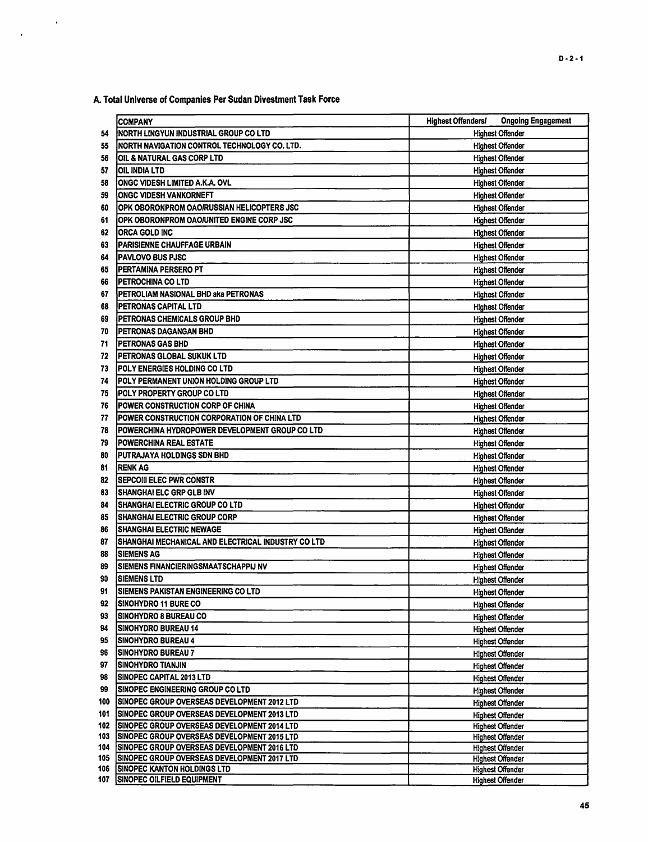A. Total Universe of Companies Per Sudan Divestment Task Force

 $\hat{\mathbf{r}}$ 

|     | COMPANY                                                                               | <b>Ongoing Engagement</b><br><b>Highest Offenders/</b> |
|-----|---------------------------------------------------------------------------------------|--------------------------------------------------------|
| 54  | NORTH LINGYUN INDUSTRIAL GROUP CO LTD                                                 | <b>Highest Offender</b>                                |
| 55  | NORTH NAVIGATION CONTROL TECHNOLOGY CO. LTD.                                          | <b>Highest Offender</b>                                |
| 56  | OIL & NATURAL GAS CORP LTD                                                            | <b>Highest Offender</b>                                |
| 57  | OIL INDIA LTD                                                                         | <b>Highest Offender</b>                                |
| 58  | <b>ONGC VIDESH LIMITED A.K.A. OVL</b>                                                 | <b>Highest Offender</b>                                |
| 59  | <b>ONGC VIDESH VANKORNEFT</b>                                                         | <b>Highest Offender</b>                                |
| 60  | OPK OBORONPROM OAO/RUSSIAN HELICOPTERS JSC                                            | <b>Highest Offender</b>                                |
| 61  | OPK OBORONPROM OAO/UNITED ENGINE CORP JSC                                             | <b>Highest Offender</b>                                |
| 62  | <b>ORCA GOLD INC</b>                                                                  | <b>Highest Offender</b>                                |
| 63  | <b>PARISIENNE CHAUFFAGE URBAIN</b>                                                    | <b>Highest Offender</b>                                |
| 64  | <b>PAVLOVO BUS PJSC</b>                                                               | <b>Highest Offender</b>                                |
| 65  | PERTAMINA PERSERO PT                                                                  | <b>Highest Offender</b>                                |
| 66  | PETROCHINA CO LTD                                                                     | <b>Highest Offender</b>                                |
| 67  | PETROLIAM NASIONAL BHD aka PETRONAS                                                   | <b>Highest Offender</b>                                |
| 68  | PETRONAS CAPITAL LTD                                                                  | <b>Highest Offender</b>                                |
| 69  | PETRONAS CHEMICALS GROUP BHD                                                          | <b>Highest Offender</b>                                |
| 70  | PETRONAS DAGANGAN BHD                                                                 | <b>Highest Offender</b>                                |
| 71  | PETRONAS GAS BHD                                                                      | <b>Highest Offender</b>                                |
| 72  | PETRONAS GLOBAL SUKUK LTD                                                             | <b>Highest Offender</b>                                |
| 73  | POLY ENERGIES HOLDING CO LTD                                                          | <b>Highest Offender</b>                                |
| 74  | POLY PERMANENT UNION HOLDING GROUP LTD                                                | <b>Highest Offender</b>                                |
| 75  | POLY PROPERTY GROUP CO LTD                                                            | <b>Highest Offender</b>                                |
| 76  | POWER CONSTRUCTION CORP OF CHINA                                                      | <b>Highest Offender</b>                                |
| 77  | POWER CONSTRUCTION CORPORATION OF CHINA LTD                                           | <b>Highest Offender</b>                                |
| 78  | POWERCHINA HYDROPOWER DEVELOPMENT GROUP CO LTD                                        | <b>Highest Offender</b>                                |
| 79  | <b>POWERCHINA REAL ESTATE</b>                                                         | <b>Highest Offender</b>                                |
| 80  | PUTRAJAYA HOLDINGS SDN BHD                                                            | <b>Highest Offender</b>                                |
| 81  | <b>RENK AG</b>                                                                        | <b>Highest Offender</b>                                |
| 82  | <b>SEPCOIII ELEC PWR CONSTR</b>                                                       | <b>Highest Offender</b>                                |
| 83  | SHANGHAI ELC GRP GLB INV                                                              | <b>Highest Offender</b>                                |
| 84  | <b>SHANGHAI ELECTRIC GROUP CO LTD</b>                                                 | <b>Highest Offender</b>                                |
| 85  | <b>SHANGHAI ELECTRIC GROUP CORP</b>                                                   | <b>Highest Offender</b>                                |
| 86  | ISHANGHAI ELECTRIC NEWAGE                                                             | <b>Highest Offender</b>                                |
| 87  | SHANGHAI MECHANICAL AND ELECTRICAL INDUSTRY CO LTD                                    | <b>Highest Offender</b>                                |
| 88  | <b>SIEMENS AG</b>                                                                     | <b>Highest Offender</b>                                |
| 89  | <b>ISIEMENS FINANCIERINGSMAATSCHAPPIJ NV</b>                                          | <b>Highest Offender</b>                                |
| 90  | <b>SIEMENS LTD</b>                                                                    | <b>Highest Offender</b>                                |
| 91  | SIEMENS PAKISTAN ENGINEERING CO LTD                                                   | <b>Highest Offender</b>                                |
| 92  | <b>SINOHYDRO 11 BURE CO</b>                                                           | <b>Highest Offender</b>                                |
| 93  | <b>SINOHYDRO 8 BUREAU CO</b>                                                          | <b>Highest Offender</b>                                |
| 94  | <b>SINOHYDRO BUREAU 14</b>                                                            | <b>Highest Offender</b>                                |
| 95  | <b>SINOHYDRO BUREAU 4</b>                                                             | <b>Highest Offender</b>                                |
| 96  | <b>SINOHYDRO BUREAU 7</b>                                                             | <b>Highest Offender</b>                                |
| 97  | İSINOHYDRO TIANJIN                                                                    | <b>Highest Offender</b>                                |
| 98  | <b>SINOPEC CAPITAL 2013 LTD</b>                                                       | <b>Highest Offender</b>                                |
| 99  | <b>SINOPEC ENGINEERING GROUP CO LTD</b>                                               | <b>Highest Offender</b>                                |
| 100 | <b>SINOPEC GROUP OVERSEAS DEVELOPMENT 2012 LTD</b>                                    | <b>Highest Offender</b>                                |
| 101 | <b>SINOPEC GROUP OVERSEAS DEVELOPMENT 2013 LTD</b>                                    | <b>Highest Offender</b>                                |
| 102 | SINOPEC GROUP OVERSEAS DEVELOPMENT 2014 LTD                                           | <b>Highest Offender</b>                                |
| 103 | SINOPEC GROUP OVERSEAS DEVELOPMENT 2015 LTD                                           | <b>Highest Offender</b>                                |
| 104 | SINOPEC GROUP OVERSEAS DEVELOPMENT 2016 LTD                                           | <b>Highest Offender</b>                                |
| 106 | 105 SINOPEC GROUP OVERSEAS DEVELOPMENT 2017 LTD<br><b>SINOPEC KANTON HOLDINGS LTD</b> | <b>Highest Offender</b><br><b>Highest Offender</b>     |
| 107 | <b>SINOPEC OILFIELD EQUIPMENT</b>                                                     | <b>Highest Offender</b>                                |
|     |                                                                                       |                                                        |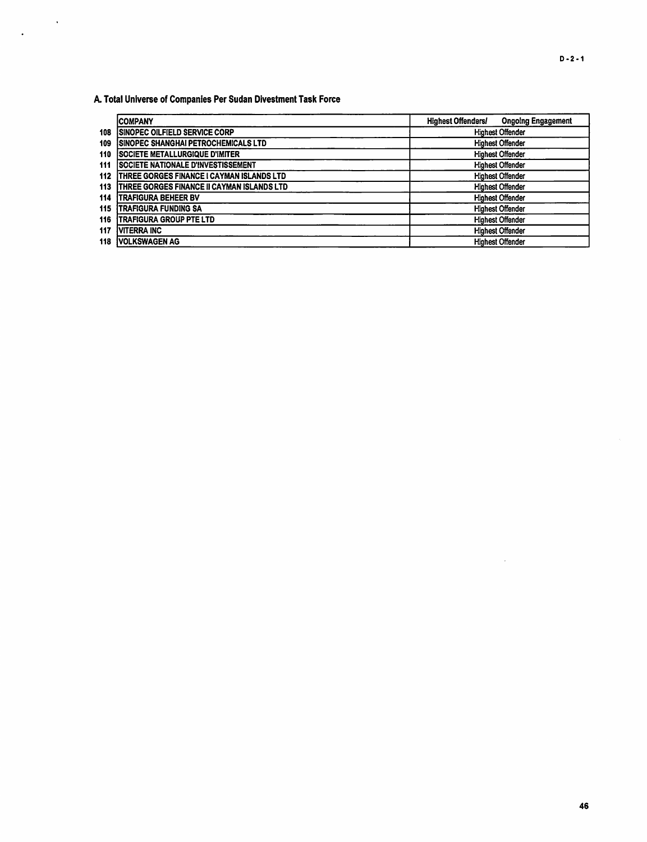A. Total Universe of Companies Per Sudan Divestment Task Force

 $\mathcal{L}^{\text{max}}_{\text{max}}$ 

 $\ddot{\phantom{a}}$ 

|     | ICOMPANY                                           | <b>Highest Offenders/</b> | <b>Ongoing Engagement</b> |
|-----|----------------------------------------------------|---------------------------|---------------------------|
| 108 | <b>ISINOPEC OILFIELD SERVICE CORP</b>              |                           | <b>Highest Offender</b>   |
| 109 | <b>ISINOPEC SHANGHAI PETROCHEMICALS LTD</b>        |                           | <b>Highest Offender</b>   |
| 110 | <b>ISOCIETE METALLURGIQUE D'IMITER</b>             |                           | <b>Highest Offender</b>   |
| 111 | <b>SOCIETE NATIONALE D'INVESTISSEMENT</b>          |                           | <b>Highest Offender</b>   |
| 112 | <b>THREE GORGES FINANCE I CAYMAN ISLANDS LTD</b>   |                           | <b>Highest Offender</b>   |
| 113 | <b>ITHREE GORGES FINANCE II CAYMAN ISLANDS LTD</b> |                           | <b>Highest Offender</b>   |
| 114 | <b>TRAFIGURA BEHEER BV</b>                         |                           | <b>Highest Offender</b>   |
| 115 | <b>ITRAFIGURA FUNDING SA</b>                       |                           | <b>Highest Offender</b>   |
| 116 | <b>ITRAFIGURA GROUP PTE LTD</b>                    |                           | <b>Highest Offender</b>   |
| 117 | <b>VITERRA INC</b>                                 |                           | <b>Highest Offender</b>   |
| 118 | <b>VOLKSWAGEN AG</b>                               |                           | <b>Highest Offender</b>   |

 $\bar{L}$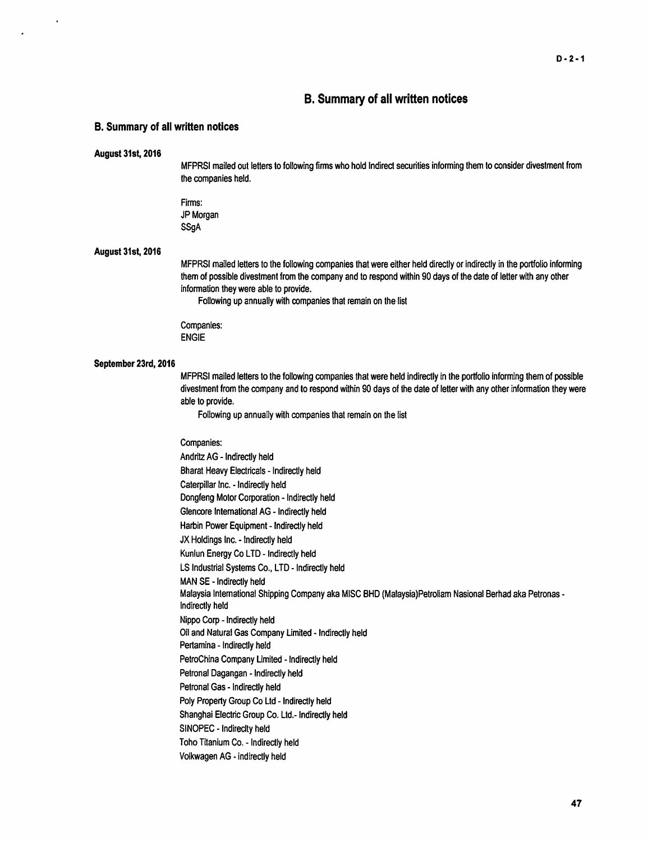### B. Summary of all written notices

### B. Summary of all written notices

#### August 31st, 2016

MFPRSI mailed out letters to following firms who hold Indirect securities informing them to consider divestment from the companies held.

Firms: JP Morgan **SSaA** 

#### August 31st, 2016

MFPRSI mailed letters to the following companies that were either held directly or indirectly in the portfolio informing them of possible divestment from the company and to respond within 90 days of the date of letter with any other information they were able to provide.

Following up annually with companies that remain on the list

Companies: ENGIE

### September 23rd, 2016

MFPRSI mailed letters to the following companies that were held indirectly in the portfolio informing them of possible divestment from the company and to respond within 90 days of the date of letter with any other information they were able to provide.

Following up annually with companies that remain on the list

Companies: Andritz AG - Indirectly held Bharat Heavy Electricals - Indirectly held Caterpillar Inc. - Indirectly held Dongfeng Motor Corporation - Indirectly held Glencore International AG - Indirectly held Harbin Power Equipment - Indirectly held JX Holdings Inc. - Indirectly held Kunlun Energy Co LTD - Indirectly held LS Industrial Systems Co., LTD - Indirectly held MAN SE - Indirectly held Malaysia International Shipping Company aka MISC BHD (Malaysia)Petroliam Nasional Berhad aka Petronas - Indirectly held Nippo Corp - Indirectly held Oil and Natural Gas Company Limited - Indirectly held Pertamina - Indirectly held PetroChina Company Limited - Indirectly held Petronal Dagangan - Indirectly held Petronal Gas - Indirectly held Poly Property Group Co Ltd - Indirectly held Shanghai Electric Group Co. Ltd.- Indirectly held SINOPEC - lndireclty held Toho Titanium Co. - Indirectly held Volkwagen AG -indirectly held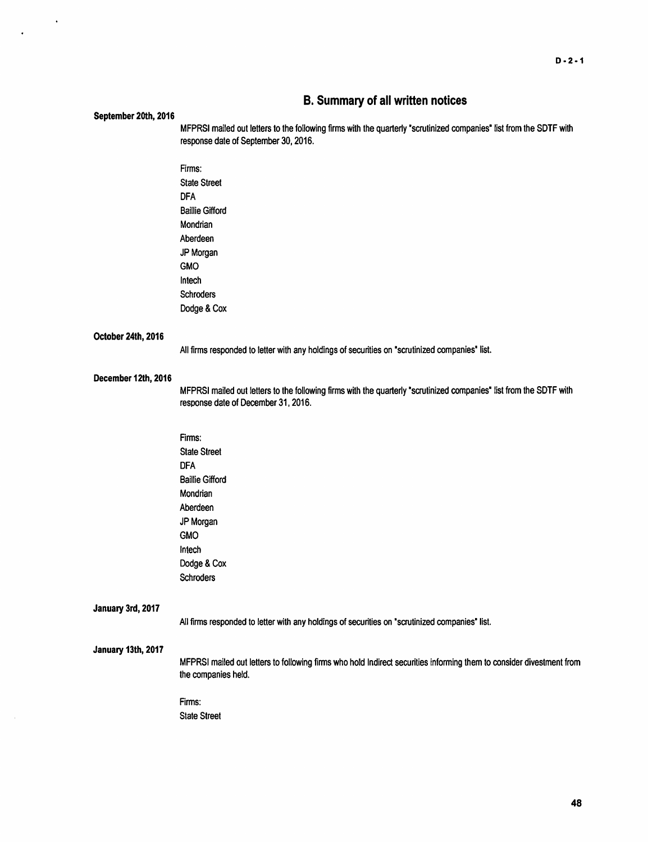### B. Summary of all written notices

#### September 20th, 2016

 $\ddot{\phantom{1}}$ 

 $\ddot{\phantom{0}}$ 

MFPRSI mailed out letters to the following firms with the quarterly 'scrutinized companies' list from the SDTF with response date of September 30, 2016.

Firms: State Street DFA Baillie Gifford Mondrian Aberdeen JP Morgan GMO lntech Schroders Dodge & Cox

### October 24th, 2016

All firms responded to letter with any holdings of securities on "scrutinized companies' list.

### December 12th, 2016

MFPRSI mailed out letters to the following firms with the quarterly 'scrutinized companies' list from the SDTF with response date of December 31, 2016.

Firms: State Street DFA Baillie Gifford Mondrian Aberdeen JP Morgan GMO In tech Dodge & Cox Schroders

### January 3rd, 2017

All firms responded to letter with any holdings of securities on 'scrutinized companies' list.

### January 13th, 2017

MFPRSI mailed out letters to following firms who hold Indirect securities informing them to consider divestment from the companies held.

### Firms:

State Street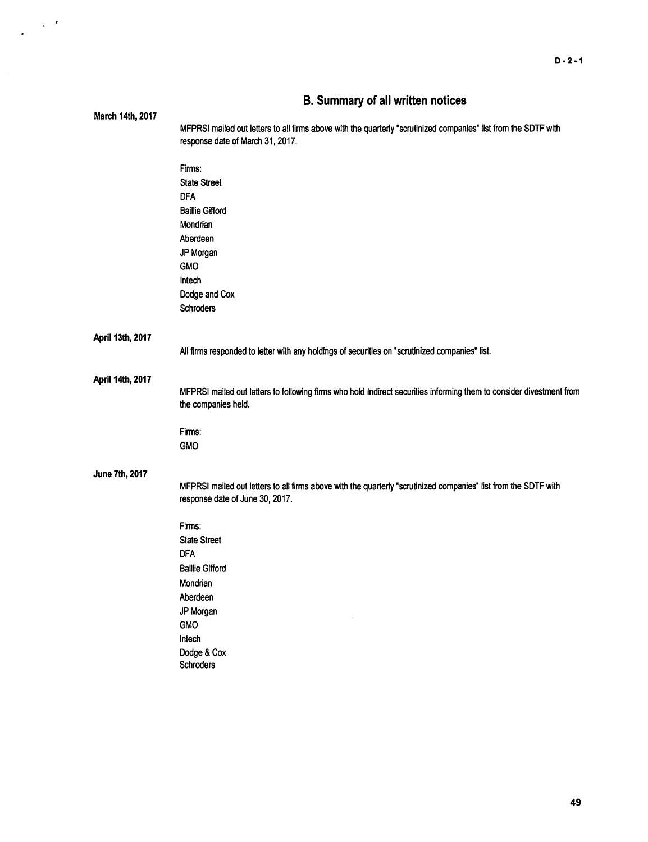|                  | <b>D. Summary Of all Written notices</b>                                                                             |  |  |  |
|------------------|----------------------------------------------------------------------------------------------------------------------|--|--|--|
| March 14th, 2017 |                                                                                                                      |  |  |  |
|                  | MFPRSI mailed out letters to all firms above with the quarterly "scrutinized companies" list from the SDTF with      |  |  |  |
|                  | response date of March 31, 2017.                                                                                     |  |  |  |
|                  |                                                                                                                      |  |  |  |
|                  | Firms:                                                                                                               |  |  |  |
|                  | <b>State Street</b>                                                                                                  |  |  |  |
|                  | <b>DFA</b>                                                                                                           |  |  |  |
|                  | <b>Baillie Gifford</b>                                                                                               |  |  |  |
|                  | Mondrian                                                                                                             |  |  |  |
|                  | Aberdeen                                                                                                             |  |  |  |
|                  |                                                                                                                      |  |  |  |
|                  | JP Morgan                                                                                                            |  |  |  |
|                  | <b>GMO</b>                                                                                                           |  |  |  |
|                  | Intech                                                                                                               |  |  |  |
|                  | Dodge and Cox                                                                                                        |  |  |  |
|                  | <b>Schroders</b>                                                                                                     |  |  |  |
|                  |                                                                                                                      |  |  |  |
| April 13th, 2017 |                                                                                                                      |  |  |  |
|                  | All firms responded to letter with any holdings of securities on "scrutinized companies" list.                       |  |  |  |
|                  |                                                                                                                      |  |  |  |
|                  |                                                                                                                      |  |  |  |
| April 14th, 2017 |                                                                                                                      |  |  |  |
|                  | MFPRSI mailed out letters to following firms who hold Indirect securities informing them to consider divestment from |  |  |  |
|                  | the companies held.                                                                                                  |  |  |  |
|                  |                                                                                                                      |  |  |  |
|                  | Firms:                                                                                                               |  |  |  |
|                  | <b>GMO</b>                                                                                                           |  |  |  |
|                  |                                                                                                                      |  |  |  |
| June 7th, 2017   |                                                                                                                      |  |  |  |
|                  | MFPRSI mailed out letters to all firms above with the quarterly "scrutinized companies" list from the SDTF with      |  |  |  |
|                  | response date of June 30, 2017.                                                                                      |  |  |  |
|                  |                                                                                                                      |  |  |  |
|                  | Firms:                                                                                                               |  |  |  |
|                  | <b>State Street</b>                                                                                                  |  |  |  |
|                  | <b>DFA</b>                                                                                                           |  |  |  |
|                  | <b>Baillie Gifford</b>                                                                                               |  |  |  |
|                  | Mondrian                                                                                                             |  |  |  |
|                  |                                                                                                                      |  |  |  |
|                  | Aberdeen                                                                                                             |  |  |  |
|                  | JP Morgan                                                                                                            |  |  |  |
|                  | GMO                                                                                                                  |  |  |  |
|                  | Intech                                                                                                               |  |  |  |
|                  | Dodge & Cox                                                                                                          |  |  |  |
|                  | Schroders                                                                                                            |  |  |  |
|                  |                                                                                                                      |  |  |  |

## **B. Summary of all written notices**

 $\frac{1}{2} \left( \frac{1}{2} \right)^{\frac{1}{2}} \left( \frac{1}{2} \right)^{\frac{1}{2}}$